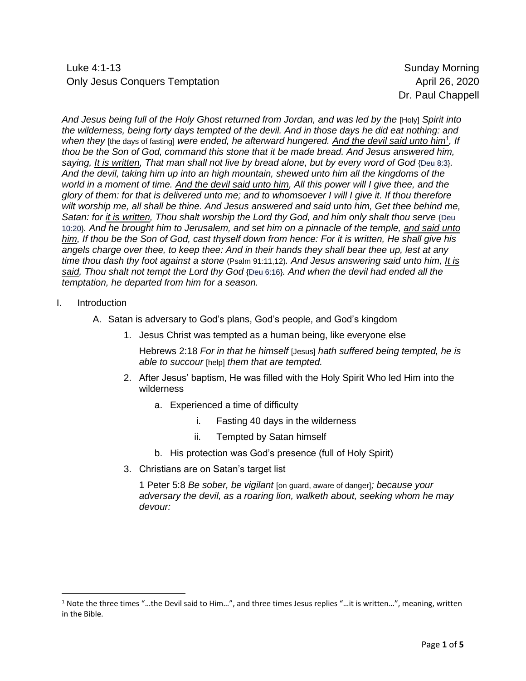Luke 4:1-13 Sunday Morning Only Jesus Conquers Temptation **April 26, 2020** 

Dr. Paul Chappell

*And Jesus being full of the Holy Ghost returned from Jordan, and was led by the* [Holy] *Spirit into the wilderness, being forty days tempted of the devil. And in those days he did eat nothing: and when they* [the days of fasting] *were ended, he afterward hungered. And the devil said unto him<sup>1</sup> , If thou be the Son of God, command this stone that it be made bread. And Jesus answered him, saying, It is written, That man shall not live by bread alone, but by every word of God* {Deu 8:3}*. And the devil, taking him up into an high mountain, shewed unto him all the kingdoms of the world in a moment of time. And the devil said unto him, All this power will I give thee, and the glory of them: for that is delivered unto me; and to whomsoever I will I give it. If thou therefore wilt worship me, all shall be thine. And Jesus answered and said unto him, Get thee behind me, Satan: for it is written, Thou shalt worship the Lord thy God, and him only shalt thou serve* {Deu 10:20}*. And he brought him to Jerusalem, and set him on a pinnacle of the temple, and said unto him, If thou be the Son of God, cast thyself down from hence: For it is written, He shall give his angels charge over thee, to keep thee: And in their hands they shall bear thee up, lest at any time thou dash thy foot against a stone* (Psalm 91:11,12)*. And Jesus answering said unto him, It is said, Thou shalt not tempt the Lord thy God* {Deu 6:16}*. And when the devil had ended all the temptation, he departed from him for a season.*

- I. Introduction
	- A. Satan is adversary to God's plans, God's people, and God's kingdom
		- 1. Jesus Christ was tempted as a human being, like everyone else

Hebrews 2:18 *For in that he himself* [Jesus] *hath suffered being tempted, he is able to succour* [help] *them that are tempted.*

- 2. After Jesus' baptism, He was filled with the Holy Spirit Who led Him into the wilderness
	- a. Experienced a time of difficulty
		- i. Fasting 40 days in the wilderness
		- ii. Tempted by Satan himself
	- b. His protection was God's presence (full of Holy Spirit)
- 3. Christians are on Satan's target list

1 Peter 5:8 *Be sober, be vigilant* [on guard, aware of danger]*; because your adversary the devil, as a roaring lion, walketh about, seeking whom he may devour:*

 $1$  Note the three times "...the Devil said to Him...", and three times Jesus replies "...it is written...", meaning, written in the Bible.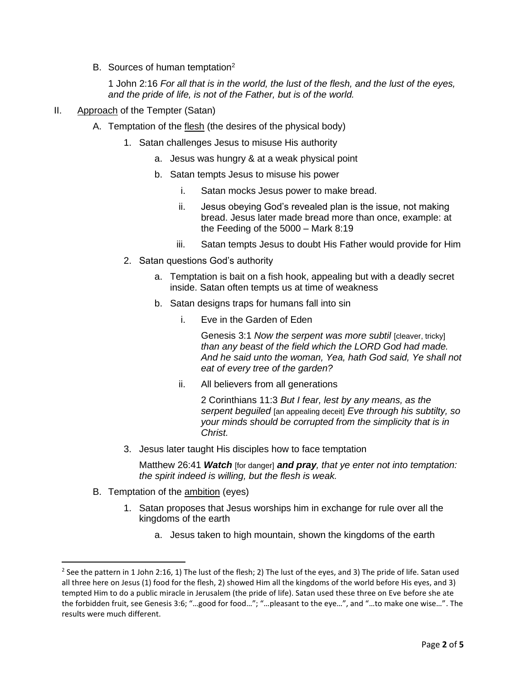B. Sources of human temptation<sup>2</sup>

1 John 2:16 *For all that is in the world, the lust of the flesh, and the lust of the eyes, and the pride of life, is not of the Father, but is of the world.*

- II. Approach of the Tempter (Satan)
	- A. Temptation of the flesh (the desires of the physical body)
		- 1. Satan challenges Jesus to misuse His authority
			- a. Jesus was hungry & at a weak physical point
			- b. Satan tempts Jesus to misuse his power
				- i. Satan mocks Jesus power to make bread.
				- ii. Jesus obeying God's revealed plan is the issue, not making bread. Jesus later made bread more than once, example: at the Feeding of the 5000 – Mark 8:19
				- iii. Satan tempts Jesus to doubt His Father would provide for Him
		- 2. Satan questions God's authority
			- a. Temptation is bait on a fish hook, appealing but with a deadly secret inside. Satan often tempts us at time of weakness
			- b. Satan designs traps for humans fall into sin
				- i. Eve in the Garden of Eden

Genesis 3:1 *Now the serpent was more subtil* [cleaver, tricky] *than any beast of the field which the LORD God had made. And he said unto the woman, Yea, hath God said, Ye shall not eat of every tree of the garden?*

ii. All believers from all generations

2 Corinthians 11:3 *But I fear, lest by any means, as the serpent beguiled* [an appealing deceit] *Eve through his subtilty, so your minds should be corrupted from the simplicity that is in Christ.*

3. Jesus later taught His disciples how to face temptation

Matthew 26:41 *Watch* [for danger] *and pray, that ye enter not into temptation: the spirit indeed is willing, but the flesh is weak.*

- B. Temptation of the **ambition** (eyes)
	- 1. Satan proposes that Jesus worships him in exchange for rule over all the kingdoms of the earth
		- a. Jesus taken to high mountain, shown the kingdoms of the earth

<sup>&</sup>lt;sup>2</sup> See the pattern in 1 John 2:16, 1) The lust of the flesh; 2) The lust of the eyes, and 3) The pride of life. Satan used all three here on Jesus (1) food for the flesh, 2) showed Him all the kingdoms of the world before His eyes, and 3) tempted Him to do a public miracle in Jerusalem (the pride of life). Satan used these three on Eve before she ate the forbidden fruit, see Genesis 3:6; "…good for food…"; "…pleasant to the eye…", and "…to make one wise…". The results were much different.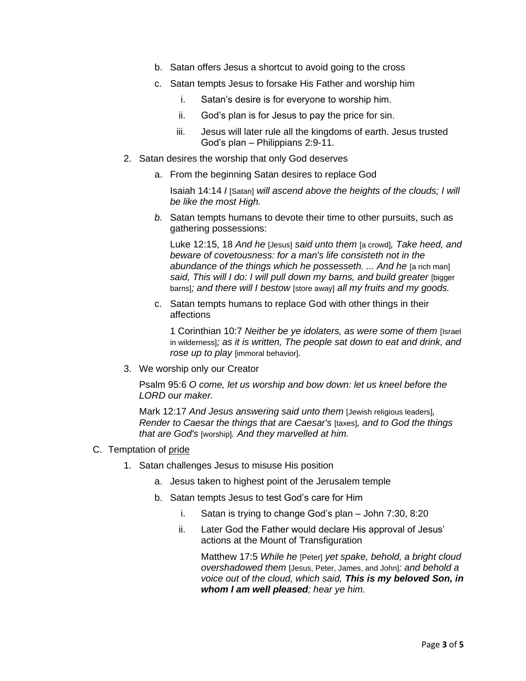- b. Satan offers Jesus a shortcut to avoid going to the cross
- c. Satan tempts Jesus to forsake His Father and worship him
	- i. Satan's desire is for everyone to worship him.
	- ii. God's plan is for Jesus to pay the price for sin.
	- iii. Jesus will later rule all the kingdoms of earth. Jesus trusted God's plan – Philippians 2:9-11.
- 2. Satan desires the worship that only God deserves
	- a. From the beginning Satan desires to replace God

Isaiah 14:14 *I* [Satan] *will ascend above the heights of the clouds; I will be like the most High.*

*b.* Satan tempts humans to devote their time to other pursuits, such as gathering possessions:

Luke 12:15, 18 *And he* [Jesus] *said unto them* [a crowd]*, Take heed, and beware of covetousness: for a man's life consisteth not in the abundance of the things which he possesseth. ... And he [a rich man] said, This will I do: I will pull down my barns, and build greater* [bigger barns]*; and there will I bestow* [store away] *all my fruits and my goods.*

c. Satan tempts humans to replace God with other things in their affections

1 Corinthian 10:7 *Neither be ye idolaters, as were some of them* [Israel in wilderness]*; as it is written, The people sat down to eat and drink, and rose up to play* [immoral behavior]*.*

3. We worship only our Creator

Psalm 95:6 *O come, let us worship and bow down: let us kneel before the LORD our maker.*

Mark 12:17 *And Jesus answering said unto them* [Jewish religious leaders]*, Render to Caesar the things that are Caesar's* [taxes]*, and to God the things that are God's* [worship]*. And they marvelled at him.*

## C. Temptation of pride

- 1. Satan challenges Jesus to misuse His position
	- a. Jesus taken to highest point of the Jerusalem temple
	- b. Satan tempts Jesus to test God's care for Him
		- i. Satan is trying to change God's plan John 7:30, 8:20
		- ii. Later God the Father would declare His approval of Jesus' actions at the Mount of Transfiguration

Matthew 17:5 *While he* [Peter] *yet spake, behold, a bright cloud overshadowed them* [Jesus, Peter, James, and John]*: and behold a voice out of the cloud, which said, This is my beloved Son, in whom I am well pleased; hear ye him.*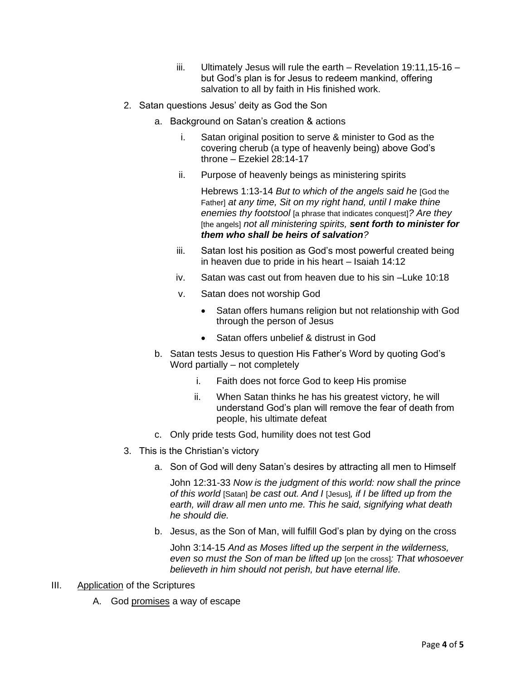- iii. Ultimately Jesus will rule the earth Revelation 19:11,15-16 but God's plan is for Jesus to redeem mankind, offering salvation to all by faith in His finished work.
- 2. Satan questions Jesus' deity as God the Son
	- a. Background on Satan's creation & actions
		- i. Satan original position to serve & minister to God as the covering cherub (a type of heavenly being) above God's throne – Ezekiel 28:14-17
		- ii. Purpose of heavenly beings as ministering spirits

Hebrews 1:13-14 *But to which of the angels said he* [God the Father] *at any time, Sit on my right hand, until I make thine enemies thy footstool* [a phrase that indicates conquest]*? Are they*  [the angels] *not all ministering spirits, sent forth to minister for them who shall be heirs of salvation?*

- iii. Satan lost his position as God's most powerful created being in heaven due to pride in his heart – Isaiah 14:12
- iv. Satan was cast out from heaven due to his sin –Luke 10:18
- v. Satan does not worship God
	- Satan offers humans religion but not relationship with God through the person of Jesus
	- Satan offers unbelief & distrust in God
- b. Satan tests Jesus to question His Father's Word by quoting God's Word partially – not completely
	- i. Faith does not force God to keep His promise
	- ii. When Satan thinks he has his greatest victory, he will understand God's plan will remove the fear of death from people, his ultimate defeat
- c. Only pride tests God, humility does not test God
- 3. This is the Christian's victory
	- a. Son of God will deny Satan's desires by attracting all men to Himself

John 12:31-33 *Now is the judgment of this world: now shall the prince of this world* [Satan] *be cast out. And I* [Jesus]*, if I be lifted up from the earth, will draw all men unto me. This he said, signifying what death he should die.*

b. Jesus, as the Son of Man, will fulfill God's plan by dying on the cross

John 3:14-15 *And as Moses lifted up the serpent in the wilderness, even so must the Son of man be lifted up* [on the cross]*: That whosoever believeth in him should not perish, but have eternal life.*

- III. Application of the Scriptures
	- A. God promises a way of escape